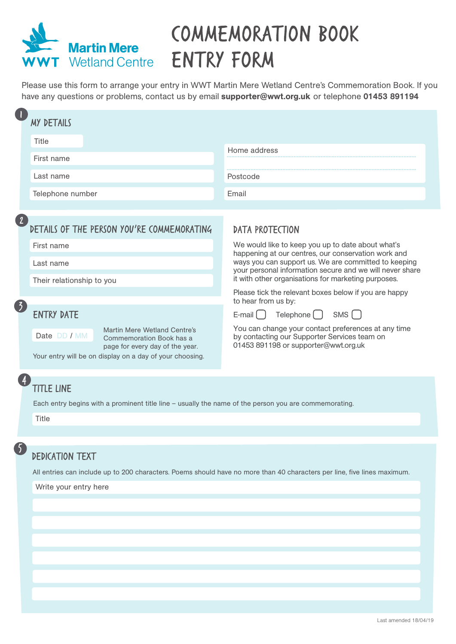

## **COMMEMORATION BOOK ENTRY FORM**

Please use this form to arrange your entry in WWT Martin Mere Wetland Centre's Commemoration Book. If you have any questions or problems, contact us by email supporter@wwt.org.uk or telephone 01453 891194

| <b>MY DETAILS</b>                                         |                                                                                                                          |                                                                                                                                                                                                                                |  |
|-----------------------------------------------------------|--------------------------------------------------------------------------------------------------------------------------|--------------------------------------------------------------------------------------------------------------------------------------------------------------------------------------------------------------------------------|--|
| Title                                                     |                                                                                                                          |                                                                                                                                                                                                                                |  |
| First name                                                |                                                                                                                          | Home address                                                                                                                                                                                                                   |  |
| Last name                                                 |                                                                                                                          | Postcode                                                                                                                                                                                                                       |  |
| Telephone number                                          |                                                                                                                          | Email                                                                                                                                                                                                                          |  |
|                                                           |                                                                                                                          |                                                                                                                                                                                                                                |  |
| $\boxed{2}$<br>DETAILS OF THE PERSON YOU'RE COMMEMORATING |                                                                                                                          | <b>DATA PROTECTION</b>                                                                                                                                                                                                         |  |
| First name                                                |                                                                                                                          | We would like to keep you up to date about what's                                                                                                                                                                              |  |
| Last name                                                 |                                                                                                                          | happening at our centres, our conservation work and<br>ways you can support us. We are committed to keeping<br>your personal information secure and we will never share<br>it with other organisations for marketing purposes. |  |
| Their relationship to you                                 |                                                                                                                          |                                                                                                                                                                                                                                |  |
|                                                           |                                                                                                                          | Please tick the relevant boxes below if you are happy<br>to hear from us by:                                                                                                                                                   |  |
| $\left( 5\right)$<br><b>ENTRY DATE</b>                    |                                                                                                                          | Telephone [ ]<br>SMS [ ]<br>$E$ -mail $\begin{pmatrix} \end{pmatrix}$                                                                                                                                                          |  |
| Date DD / MM                                              | Martin Mere Wetland Centre's<br>Commemoration Book has a<br>page for every day of the year.                              | You can change your contact preferences at any time<br>by contacting our Supporter Services team on<br>01453 891198 or supporter@wwt.org.uk                                                                                    |  |
| Your entry will be on display on a day of your choosing.  |                                                                                                                          |                                                                                                                                                                                                                                |  |
|                                                           |                                                                                                                          |                                                                                                                                                                                                                                |  |
|                                                           | TITLE LINE                                                                                                               |                                                                                                                                                                                                                                |  |
|                                                           | Each entry begins with a prominent title line - usually the name of the person you are commemorating.                    |                                                                                                                                                                                                                                |  |
| Title                                                     |                                                                                                                          |                                                                                                                                                                                                                                |  |
|                                                           |                                                                                                                          |                                                                                                                                                                                                                                |  |
|                                                           | DEDICATION TEXT                                                                                                          |                                                                                                                                                                                                                                |  |
|                                                           | All entries can include up to 200 characters. Poems should have no more than 40 characters per line, five lines maximum. |                                                                                                                                                                                                                                |  |
| Write your entry here                                     |                                                                                                                          |                                                                                                                                                                                                                                |  |
|                                                           |                                                                                                                          |                                                                                                                                                                                                                                |  |
|                                                           |                                                                                                                          |                                                                                                                                                                                                                                |  |